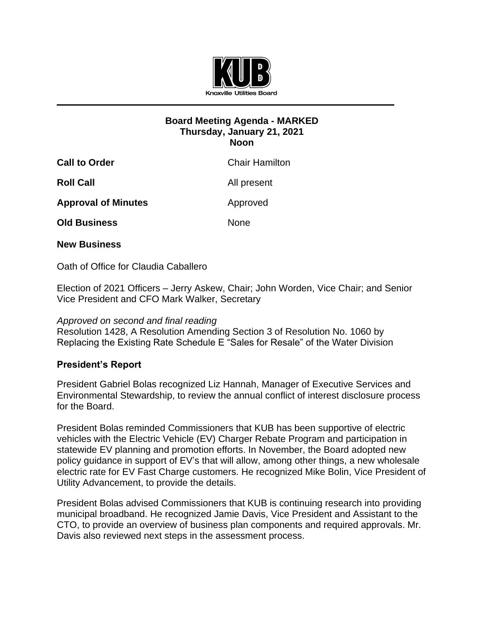

## **Board Meeting Agenda - MARKED Thursday, January 21, 2021 Noon**

| <b>Call to Order</b>       | <b>Chair Hamilton</b> |
|----------------------------|-----------------------|
| <b>Roll Call</b>           | All present           |
| <b>Approval of Minutes</b> | Approved              |
| <b>Old Business</b>        | <b>None</b>           |
|                            |                       |

## **New Business**

Oath of Office for Claudia Caballero

Election of 2021 Officers – Jerry Askew, Chair; John Worden, Vice Chair; and Senior Vice President and CFO Mark Walker, Secretary

## *Approved on second and final reading*

Resolution 1428, A Resolution Amending Section 3 of Resolution No. 1060 by Replacing the Existing Rate Schedule E "Sales for Resale" of the Water Division

## **President's Report**

President Gabriel Bolas recognized Liz Hannah, Manager of Executive Services and Environmental Stewardship, to review the annual conflict of interest disclosure process for the Board.

President Bolas reminded Commissioners that KUB has been supportive of electric vehicles with the Electric Vehicle (EV) Charger Rebate Program and participation in statewide EV planning and promotion efforts. In November, the Board adopted new policy guidance in support of EV's that will allow, among other things, a new wholesale electric rate for EV Fast Charge customers. He recognized Mike Bolin, Vice President of Utility Advancement, to provide the details.

President Bolas advised Commissioners that KUB is continuing research into providing municipal broadband. He recognized Jamie Davis, Vice President and Assistant to the CTO, to provide an overview of business plan components and required approvals. Mr. Davis also reviewed next steps in the assessment process.